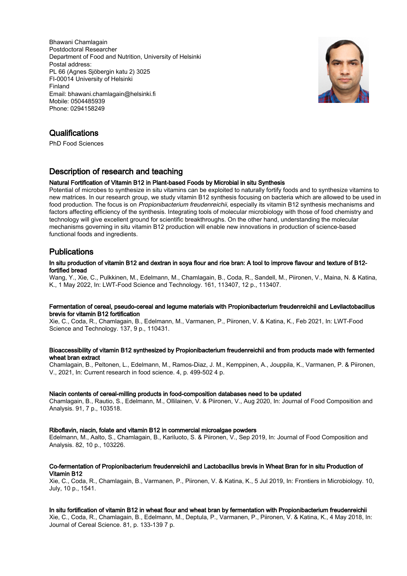Bhawani Chamlagain Postdoctoral Researcher Department of Food and Nutrition, University of Helsinki Postal address: PL 66 (Agnes Sjöbergin katu 2) 3025 FI-00014 University of Helsinki Finland Email: bhawani.chamlagain@helsinki.fi Mobile: 0504485939 Phone: 0294158249



# **Qualifications**

PhD Food Sciences

# Description of research and teaching

### Natural Fortification of Vitamin B12 in Plant-based Foods by Microbial in situ Synthesis

Potential of microbes to synthesize in situ vitamins can be exploited to naturally fortify foods and to synthesize vitamins to new matrices. In our research group, we study vitamin B12 synthesis focusing on bacteria which are allowed to be used in food production. The focus is on Propionibacterium freudenreichii, especially its vitamin B12 synthesis mechanisms and factors affecting efficiency of the synthesis. Integrating tools of molecular microbiology with those of food chemistry and technology will give excellent ground for scientific breakthroughs. On the other hand, understanding the molecular mechanisms governing in situ vitamin B12 production will enable new innovations in production of science-based functional foods and ingredients.

# Publications

### In situ production of vitamin B12 and dextran in soya flour and rice bran: A tool to improve flavour and texture of B12 fortified bread

Wang, Y., Xie, C., Pulkkinen, M., Edelmann, M., Chamlagain, B., Coda, R., Sandell, M., Piironen, V., Maina, N. & Katina, K., 1 May 2022, In: LWT-Food Science and Technology. 161, 113407, 12 p., 113407.

### Fermentation of cereal, pseudo-cereal and legume materials with Propionibacterium freudenreichii and Levilactobacillus brevis for vitamin B12 fortification

Xie, C., Coda, R., Chamlagain, B., Edelmann, M., Varmanen, P., Piironen, V. & Katina, K., Feb 2021, In: LWT-Food Science and Technology. 137, 9 p., 110431.

### Bioaccessibility of vitamin B12 synthesized by Propionibacterium freudenreichii and from products made with fermented wheat bran extract

Chamlagain, B., Peltonen, L., Edelmann, M., Ramos-Diaz, J. M., Kemppinen, A., Jouppila, K., Varmanen, P. & Piironen, V., 2021, In: Current research in food science. 4, p. 499-502 4 p.

### Niacin contents of cereal-milling products in food-composition databases need to be updated

Chamlagain, B., Rautio, S., Edelmann, M., Ollilainen, V. & Piironen, V., Aug 2020, In: Journal of Food Composition and Analysis. 91, 7 p., 103518.

### Riboflavin, niacin, folate and vitamin B12 in commercial microalgae powders

Edelmann, M., Aalto, S., Chamlagain, B., Kariluoto, S. & Piironen, V., Sep 2019, In: Journal of Food Composition and Analysis. 82, 10 p., 103226.

### Co-fermentation of Propionibacterium freudenreichii and Lactobacillus brevis in Wheat Bran for in situ Production of Vitamin B12

Xie, C., Coda, R., Chamlagain, B., Varmanen, P., Piironen, V. & Katina, K., 5 Jul 2019, In: Frontiers in Microbiology. 10, July, 10 p., 1541.

### In situ fortification of vitamin B12 in wheat flour and wheat bran by fermentation with Propionibacterium freudenreichii

Xie, C., Coda, R., Chamlagain, B., Edelmann, M., Deptula, P., Varmanen, P., Piironen, V. & Katina, K., 4 May 2018, In: Journal of Cereal Science. 81, p. 133-139 7 p.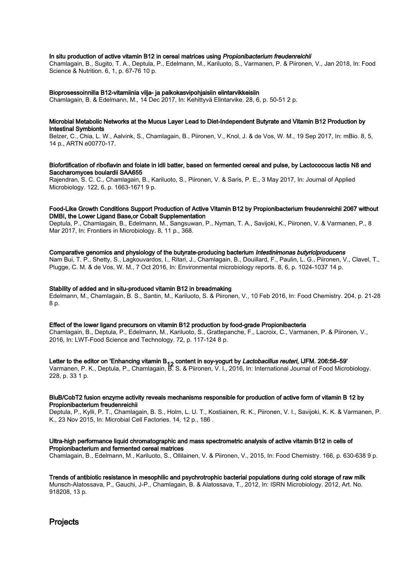### In situ production of active vitamin B12 in cereal matrices using Propionibacterium freudenreichii

Chamlagain, B., Sugito, T. A., Deptula, P., Edelmann, M., Kariluoto, S., Varmanen, P. & Piironen, V., Jan 2018, In: Food Science & Nutrition. 6, 1, p. 67-76 10 p.

### Bioprosessoinnilla B12-vitamiinia vilja- ja palkokasvipohjaisiin elintarvikkeisiin

Chamlagain, B. & Edelmann, M., 14 Dec 2017, In: Kehittyvä Elintarvike. 28, 6, p. 50-51 2 p.

### Microbial Metabolic Networks at the Mucus Layer Lead to Diet-Independent Butyrate and Vitamin B12 Production by Intestinal Symbionts

Belzer, C., Chia, L. W., Aalvink, S., Chamlagain, B., Piironen, V., Knol, J. & de Vos, W. M., 19 Sep 2017, In: mBio. 8, 5, 14 p., ARTN e00770-17.

### Biofortification of riboflavin and folate in idli batter, based on fermented cereal and pulse, by Lactococcus lactis N8 and Saccharomyces boulardii SAA655

Rajendran, S. C. C., Chamlagain, B., Kariluoto, S., Piironen, V. & Saris, P. E., 3 May 2017, In: Journal of Applied Microbiology. 122, 6, p. 1663-1671 9 p.

### Food-Like Growth Conditions Support Production of Active Vitamin B12 by Propionibacterium freudenreichii 2067 without DMBI, the Lower Ligand Base,or Cobalt Supplementation

Deptula, P., Chamlagain, B., Edelmann, M., Sangsuwan, P., Nyman, T. A., Savijoki, K., Piironen, V. & Varmanen, P., 8 Mar 2017, In: Frontiers in Microbiology. 8, 11 p., 368.

### Comparative genomics and physiology of the butyrate-producing bacterium Intestinimonas butyriciproducens

Nam Bui, T. P., Shetty, S., Lagkouvardos, I., Ritari, J., Chamlagain, B., Douillard, F., Paulin, L. G., Piironen, V., Clavel, T., Plugge, C. M. & de Vos, W. M., 7 Oct 2016, In: Environmental microbiology reports. 8, 6, p. 1024-1037 14 p.

### Stability of added and in situ-produced vitamin B12 in breadmaking

Edelmann, M., Chamlagain, B. S., Santin, M., Kariluoto, S. & Piironen, V., 10 Feb 2016, In: Food Chemistry. 204, p. 21-28 8 p.

### Effect of the lower ligand precursors on vitamin B12 production by food-grade Propionibacteria

Chamlagain, B., Deptula, P., Edelmann, M., Kariluoto, S., Grattepanche, F., Lacroix, C., Varmanen, P. & Piironen, V., 2016, In: LWT-Food Science and Technology. 72, p. 117-124 8 p.

Letter to the editor on 'Enhancing vitamin B<sub>12</sub> content in soy-yogurt by *Lactobacillus reuteri*, IJFM. 206:56–59'<br>Varmanen, P. K., Deptula, P., Chamlagain, B. S. & Piironen, V. I., 2016, In: International Journal of Food 228, p. 33 1 p.

### BluB/CobT2 fusion enzyme activity reveals mechanisms responsible for production of active form of vitamin B 12 by Propionibacterium freudenreichii

Deptula, P., Kylli, P. T., Chamlagain, B. S., Holm, L. U. T., Kostiainen, R. K., Piironen, V. I., Savijoki, K. K. & Varmanen, P. K., 23 Nov 2015, In: Microbial Cell Factories. 14, 12 p., 186 .

### Ultra-high performance liquid chromatographic and mass spectrometric analysis of active vitamin B12 in cells of Propionibacterium and fermented cereal matrices

Chamlagain, B., Edelmann, M., Kariluoto, S., Ollilainen, V. & Piironen, V., 2015, In: Food Chemistry. 166, p. 630-638 9 p.

Trends of antibiotic resistance in mesophilic and psychrotrophic bacterial populations during cold storage of raw milk Munsch-Alatossava, P., Gauchi, J-P., Chamlagain, B. & Alatossava, T., 2012, In: ISRN Microbiology. 2012, Art. No. 918208, 13 p.

**Projects**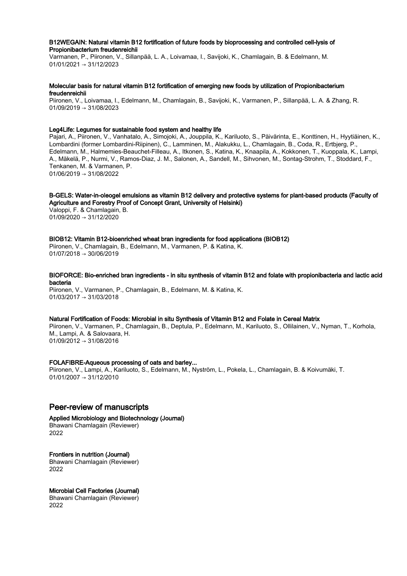### B12WEGAIN: Natural vitamin B12 fortification of future foods by bioprocessing and controlled cell-lysis of Propionibacterium freudenreichii

Varmanen, P., Piironen, V., Sillanpää, L. A., Loivamaa, I., Savijoki, K., Chamlagain, B. & Edelmann, M. 01/01/2021 → 31/12/2023

### Molecular basis for natural vitamin B12 fortification of emerging new foods by utilization of Propionibacterium freudenreichii

Piironen, V., Loivamaa, I., Edelmann, M., Chamlagain, B., Savijoki, K., Varmanen, P., Sillanpää, L. A. & Zhang, R. 01/09/2019 → 31/08/2023

### Leg4Life: Legumes for sustainable food system and healthy life

Pajari, A., Piironen, V., Vanhatalo, A., Simojoki, A., Jouppila, K., Kariluoto, S., Päivärinta, E., Konttinen, H., Hyytiäinen, K., Lombardini (former Lombardini-Riipinen), C., Lamminen, M., Alakukku, L., Chamlagain, B., Coda, R., Ertbjerg, P., Edelmann, M., Halmemies-Beauchet-Filleau, A., Itkonen, S., Katina, K., Knaapila, A., Kokkonen, T., Kuoppala, K., Lampi, A., Mäkelä, P., Nurmi, V., Ramos-Diaz, J. M., Salonen, A., Sandell, M., Sihvonen, M., Sontag-Strohm, T., Stoddard, F., Tenkanen, M. & Varmanen, P. 01/06/2019 → 31/08/2022

### B-GELS: Water-in-oleogel emulsions as vitamin B12 delivery and protective systems for plant-based products (Faculty of Agriculture and Forestry Proof of Concept Grant, University of Helsinki)

Valoppi, F. & Chamlagain, B. 01/09/2020 → 31/12/2020

### BIOB12: Vitamin B12-bioenriched wheat bran ingredients for food applications (BIOB12)

Piironen, V., Chamlagain, B., Edelmann, M., Varmanen, P. & Katina, K.  $01/07/2018 \rightarrow 30/06/2019$ 

### BIOFORCE: Bio-enriched bran ingredients - in situ synthesis of vitamin B12 and folate with propionibacteria and lactic acid bacteria

Piironen, V., Varmanen, P., Chamlagain, B., Edelmann, M. & Katina, K. 01/03/2017 → 31/03/2018

#### Natural Fortification of Foods: Microbial in situ Synthesis of Vitamin B12 and Folate in Cereal Matrix

Piironen, V., Varmanen, P., Chamlagain, B., Deptula, P., Edelmann, M., Kariluoto, S., Ollilainen, V., Nyman, T., Korhola, M., Lampi, A. & Salovaara, H. 01/09/2012 → 31/08/2016

### FOLAFIBRE-Aqueous processing of oats and barley...

Piironen, V., Lampi, A., Kariluoto, S., Edelmann, M., Nyström, L., Pokela, L., Chamlagain, B. & Koivumäki, T.  $01/01/2007 \rightarrow 31/12/2010$ 

# Peer-review of manuscripts

Applied Microbiology and Biotechnology (Journal) Bhawani Chamlagain (Reviewer) 2022

Frontiers in nutrition (Journal) Bhawani Chamlagain (Reviewer) 2022

### Microbial Cell Factories (Journal)

Bhawani Chamlagain (Reviewer) 2022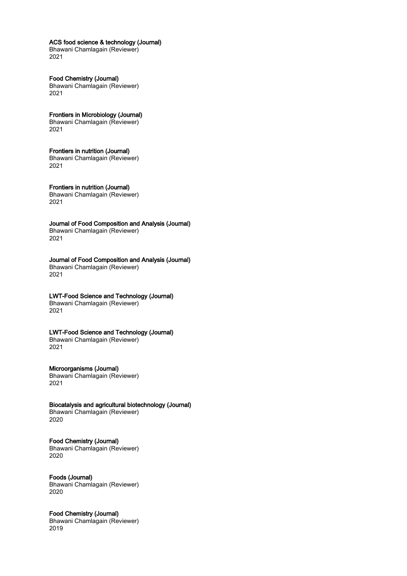### ACS food science & technology (Journal)

Bhawani Chamlagain (Reviewer) 2021

### Food Chemistry (Journal) Bhawani Chamlagain (Reviewer)

2021

# Frontiers in Microbiology (Journal)

Bhawani Chamlagain (Reviewer) 2021

### Frontiers in nutrition (Journal)

Bhawani Chamlagain (Reviewer) 2021

# Frontiers in nutrition (Journal)

Bhawani Chamlagain (Reviewer) 2021

### Journal of Food Composition and Analysis (Journal) Bhawani Chamlagain (Reviewer) 2021

### Journal of Food Composition and Analysis (Journal) Bhawani Chamlagain (Reviewer) 2021

# LWT-Food Science and Technology (Journal)

Bhawani Chamlagain (Reviewer) 2021

### LWT-Food Science and Technology (Journal) Bhawani Chamlagain (Reviewer)

2021

# Microorganisms (Journal)

Bhawani Chamlagain (Reviewer) 2021

### Biocatalysis and agricultural biotechnology (Journal)

Bhawani Chamlagain (Reviewer) 2020

# Food Chemistry (Journal)

Bhawani Chamlagain (Reviewer) 2020

# Foods (Journal)

Bhawani Chamlagain (Reviewer) 2020

## Food Chemistry (Journal)

Bhawani Chamlagain (Reviewer) 2019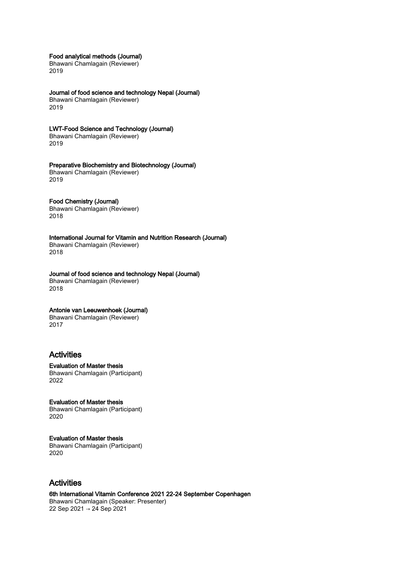Food analytical methods (Journal)

Bhawani Chamlagain (Reviewer) 2019

Journal of food science and technology Nepal (Journal)

Bhawani Chamlagain (Reviewer) 2019

LWT-Food Science and Technology (Journal)

Bhawani Chamlagain (Reviewer) 2019

### Preparative Biochemistry and Biotechnology (Journal)

Bhawani Chamlagain (Reviewer) 2019

### Food Chemistry (Journal)

Bhawani Chamlagain (Reviewer) 2018

International Journal for Vitamin and Nutrition Research (Journal)

Bhawani Chamlagain (Reviewer) 2018

### Journal of food science and technology Nepal (Journal)

Bhawani Chamlagain (Reviewer) 2018

## Antonie van Leeuwenhoek (Journal)

Bhawani Chamlagain (Reviewer) 2017

# Activities

Evaluation of Master thesis Bhawani Chamlagain (Participant) 2022

Evaluation of Master thesis Bhawani Chamlagain (Participant) 2020

### Evaluation of Master thesis

Bhawani Chamlagain (Participant) 2020

# Activities

6th International Vitamin Conference 2021 22-24 September Copenhagen Bhawani Chamlagain (Speaker: Presenter) 22 Sep 2021 → 24 Sep 2021